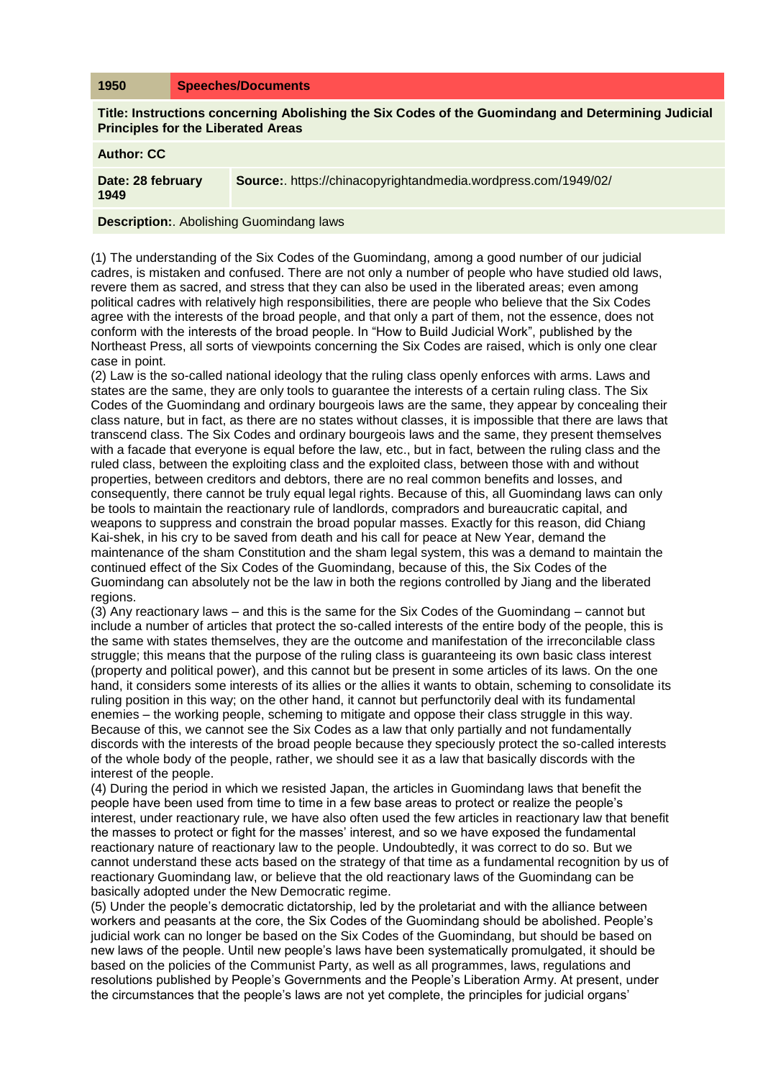## **1950 Speeches/Documents**

**Title: Instructions concerning Abolishing the Six Codes of the Guomindang and Determining Judicial Principles for the Liberated Areas**

**Author: CC**

**Date: 28 february 1949 Source:**. https://chinacopyrightandmedia.wordpress.com/1949/02/

**Description:**. Abolishing Guomindang laws

(1) The understanding of the Six Codes of the Guomindang, among a good number of our judicial cadres, is mistaken and confused. There are not only a number of people who have studied old laws, revere them as sacred, and stress that they can also be used in the liberated areas; even among political cadres with relatively high responsibilities, there are people who believe that the Six Codes agree with the interests of the broad people, and that only a part of them, not the essence, does not conform with the interests of the broad people. In "How to Build Judicial Work", published by the Northeast Press, all sorts of viewpoints concerning the Six Codes are raised, which is only one clear case in point.

(2) Law is the so-called national ideology that the ruling class openly enforces with arms. Laws and states are the same, they are only tools to guarantee the interests of a certain ruling class. The Six Codes of the Guomindang and ordinary bourgeois laws are the same, they appear by concealing their class nature, but in fact, as there are no states without classes, it is impossible that there are laws that transcend class. The Six Codes and ordinary bourgeois laws and the same, they present themselves with a facade that everyone is equal before the law, etc., but in fact, between the ruling class and the ruled class, between the exploiting class and the exploited class, between those with and without properties, between creditors and debtors, there are no real common benefits and losses, and consequently, there cannot be truly equal legal rights. Because of this, all Guomindang laws can only be tools to maintain the reactionary rule of landlords, compradors and bureaucratic capital, and weapons to suppress and constrain the broad popular masses. Exactly for this reason, did Chiang Kai-shek, in his cry to be saved from death and his call for peace at New Year, demand the maintenance of the sham Constitution and the sham legal system, this was a demand to maintain the continued effect of the Six Codes of the Guomindang, because of this, the Six Codes of the Guomindang can absolutely not be the law in both the regions controlled by Jiang and the liberated regions.

(3) Any reactionary laws – and this is the same for the Six Codes of the Guomindang – cannot but include a number of articles that protect the so-called interests of the entire body of the people, this is the same with states themselves, they are the outcome and manifestation of the irreconcilable class struggle; this means that the purpose of the ruling class is guaranteeing its own basic class interest (property and political power), and this cannot but be present in some articles of its laws. On the one hand, it considers some interests of its allies or the allies it wants to obtain, scheming to consolidate its ruling position in this way; on the other hand, it cannot but perfunctorily deal with its fundamental enemies – the working people, scheming to mitigate and oppose their class struggle in this way. Because of this, we cannot see the Six Codes as a law that only partially and not fundamentally discords with the interests of the broad people because they speciously protect the so-called interests of the whole body of the people, rather, we should see it as a law that basically discords with the interest of the people.

(4) During the period in which we resisted Japan, the articles in Guomindang laws that benefit the people have been used from time to time in a few base areas to protect or realize the people's interest, under reactionary rule, we have also often used the few articles in reactionary law that benefit the masses to protect or fight for the masses' interest, and so we have exposed the fundamental reactionary nature of reactionary law to the people. Undoubtedly, it was correct to do so. But we cannot understand these acts based on the strategy of that time as a fundamental recognition by us of reactionary Guomindang law, or believe that the old reactionary laws of the Guomindang can be basically adopted under the New Democratic regime.

(5) Under the people's democratic dictatorship, led by the proletariat and with the alliance between workers and peasants at the core, the Six Codes of the Guomindang should be abolished. People's judicial work can no longer be based on the Six Codes of the Guomindang, but should be based on new laws of the people. Until new people's laws have been systematically promulgated, it should be based on the policies of the Communist Party, as well as all programmes, laws, regulations and resolutions published by People's Governments and the People's Liberation Army. At present, under the circumstances that the people's laws are not yet complete, the principles for judicial organs'